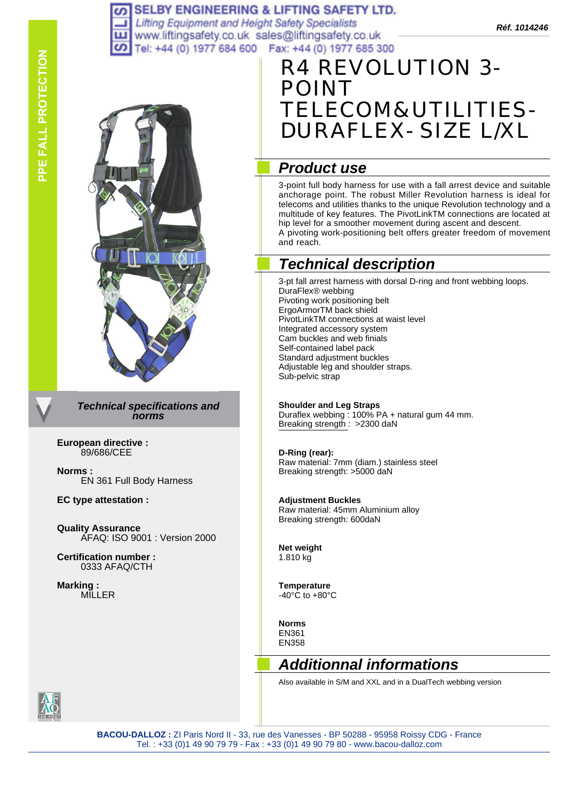#### **SELBY ENGINEERING & LIFTING SAFETY LTD.** ဖာ

Lifting Equipment and Height Safety Specialists<br>www.liftingsafety.co.uk sales@liftingsafety.co.uk **Réf. 1014246** ш Tel: +44 (0) 1977 684 600 Fax: +44 (0) 1977 685 300 ၯ

# R4 REVOLUTION 3- POINT ELECOM&UTILITIES-DURAFLEX- SIZE L/XL

## *Product use*

3-point full body harness for use with a fall arrest device and suitable anchorage point. The robust Miller Revolution harness is ideal for telecoms and utilities thanks to the unique Revolution technology and a multitude of key features. The PivotLinkTM connections are located at hip level for a smoother movement during ascent and descent. A pivoting work-positioning belt offers greater freedom of movement and reach.

## *Technical description*

3-pt fall arrest harness with dorsal D-ring and front webbing loops. DuraFlex® webbing Pivoting work positioning belt ErgoArmorTM back shield PivotLinkTM connections at waist level Integrated accessory system Cam buckles and web finials Self-contained label pack Standard adjustment buckles Adjustable leg and shoulder straps. Sub-pelvic strap

#### **Shoulder and Leg Straps**

Duraflex webbing : 100% PA + natural gum 44 mm. Breaking strength : >2300 daN

#### **D-Ring (rear):**

Raw material: 7mm (diam.) stainless steel Breaking strength: >5000 daN

#### **Adjustment Buckles**

Raw material: 45mm Aluminium alloy Breaking strength: 600daN

**Net weight** 1.810 kg

**Temperature**   $-40^{\circ}$ C to  $+80^{\circ}$ C

**Norms** EN361 EN358

## *Additionnal informations*

Also available in S/M and XXL and in a DualTech webbing version



*Technical specifications and* 

**European directive :** 89/686/CEE

**Norms :** EN 361 Full Body Harness

**EC type attestation :**

**Quality Assurance** AFAQ: ISO 9001 : Version 2000

*norms*

**Certification number :** 0333 AFAQ/CTH

**Marking :** MILLER